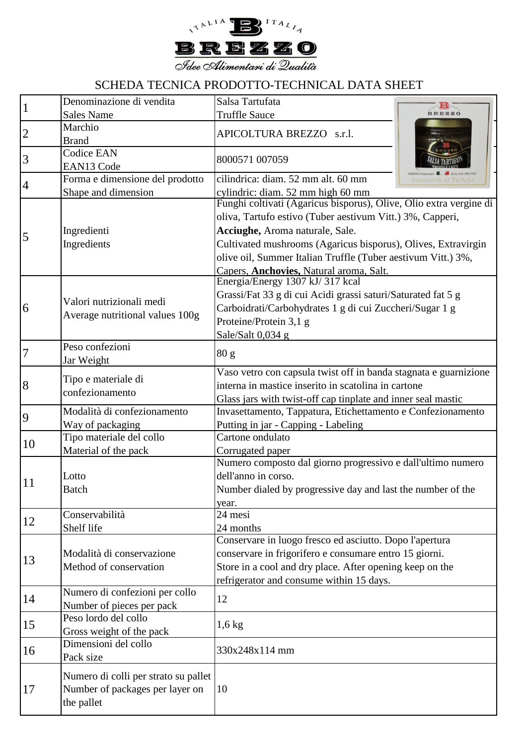

## SCHEDA TECNICA PRODOTTO-TECHNICAL DATA SHEET

|                | Denominazione di vendita                                                              | Salsa Tartufata<br>ALLA BOTTLE                                                                                                                                                                                                                                                                                                                 |
|----------------|---------------------------------------------------------------------------------------|------------------------------------------------------------------------------------------------------------------------------------------------------------------------------------------------------------------------------------------------------------------------------------------------------------------------------------------------|
| $\mathbf{1}$   | <b>Sales Name</b>                                                                     | <b>Truffle Sauce</b><br><b>BREZZO</b>                                                                                                                                                                                                                                                                                                          |
| $\overline{2}$ | Marchio<br><b>Brand</b>                                                               | APICOLTURA BREZZO s.r.l.                                                                                                                                                                                                                                                                                                                       |
| 3              | <b>Codice EAN</b><br>EAN13 Code                                                       | 8000571 007059                                                                                                                                                                                                                                                                                                                                 |
| 4              | Forma e dimensione del prodotto                                                       | cilindrica: diam. 52 mm alt. 60 mm<br>ppecialità al Tartufo                                                                                                                                                                                                                                                                                    |
|                | Shape and dimension                                                                   | cylindric: diam. 52 mm high 60 mm                                                                                                                                                                                                                                                                                                              |
| 5              | Ingredienti<br>Ingredients                                                            | Funghi coltivati (Agaricus bisporus), Olive, Olio extra vergine di<br>oliva, Tartufo estivo (Tuber aestivum Vitt.) 3%, Capperi,<br>Acciughe, Aroma naturale, Sale.<br>Cultivated mushrooms (Agaricus bisporus), Olives, Extravirgin<br>olive oil, Summer Italian Truffle (Tuber aestivum Vitt.) 3%,<br>Capers, Anchovies, Natural aroma, Salt. |
| 6              | Valori nutrizionali medi<br>Average nutritional values 100g                           | Energia/Energy 1307 kJ/317 kcal<br>Grassi/Fat 33 g di cui Acidi grassi saturi/Saturated fat 5 g<br>Carboidrati/Carbohydrates 1 g di cui Zuccheri/Sugar 1 g<br>Proteine/Protein 3,1 g<br>Sale/Salt 0,034 g                                                                                                                                      |
| $\overline{7}$ | Peso confezioni<br>Jar Weight                                                         | 80 g                                                                                                                                                                                                                                                                                                                                           |
| 8              | Tipo e materiale di<br>confezionamento                                                | Vaso vetro con capsula twist off in banda stagnata e guarnizione<br>interna in mastice inserito in scatolina in cartone<br>Glass jars with twist-off cap tinplate and inner seal mastic                                                                                                                                                        |
| 9              | Modalità di confezionamento<br>Way of packaging                                       | Invasettamento, Tappatura, Etichettamento e Confezionamento<br>Putting in jar - Capping - Labeling                                                                                                                                                                                                                                             |
| 10             | Tipo materiale del collo<br>Material of the pack                                      | Cartone ondulato<br>Corrugated paper                                                                                                                                                                                                                                                                                                           |
| 11             | Lotto<br><b>Batch</b>                                                                 | Numero composto dal giorno progressivo e dall'ultimo numero<br>dell'anno in corso.<br>Number dialed by progressive day and last the number of the<br>year.                                                                                                                                                                                     |
| 12             | Conservabilità<br>Shelf life                                                          | 24 mesi<br>24 months                                                                                                                                                                                                                                                                                                                           |
| 13             | Modalità di conservazione<br>Method of conservation                                   | Conservare in luogo fresco ed asciutto. Dopo l'apertura<br>conservare in frigorifero e consumare entro 15 giorni.<br>Store in a cool and dry place. After opening keep on the<br>refrigerator and consume within 15 days.                                                                                                                      |
| 14             | Numero di confezioni per collo<br>Number of pieces per pack                           | 12                                                                                                                                                                                                                                                                                                                                             |
| 15             | Peso lordo del collo<br>Gross weight of the pack                                      | $1,6$ kg                                                                                                                                                                                                                                                                                                                                       |
| 16             | Dimensioni del collo<br>Pack size                                                     | 330x248x114 mm                                                                                                                                                                                                                                                                                                                                 |
| 17             | Numero di colli per strato su pallet<br>Number of packages per layer on<br>the pallet | 10                                                                                                                                                                                                                                                                                                                                             |